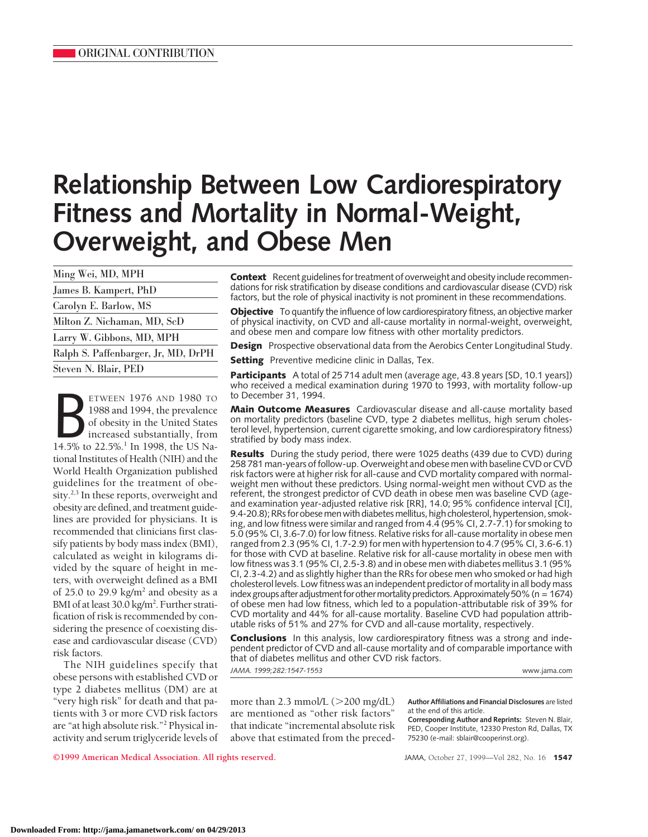# **Relationship Between Low Cardiorespiratory Fitness and Mortality in Normal-Weight, Overweight, and Obese Men**

| Ming Wei, MD, MPH                   |
|-------------------------------------|
| James B. Kampert, PhD               |
| Carolyn E. Barlow, MS               |
| Milton Z. Nichaman, MD, ScD         |
| Larry W. Gibbons, MD, MPH           |
| Ralph S. Paffenbarger, Jr, MD, DrPH |
| Steven N. Blair, PED                |

ETWEEN 1976 AND 1980 TO<br>1988 and 1994, the prevalence<br>of obesity in the United States<br>increased substantially, from<br>14.5% to 22.5%.<sup>1</sup> In 1998, the US Na-ETWEEN 1976 AND 1980 TO 1988 and 1994, the prevalence of obesity in the United States increased substantially, from tional Institutes of Health (NIH) and the World Health Organization published guidelines for the treatment of obesity.<sup>2,3</sup> In these reports, overweight and obesity are defined, and treatment guidelines are provided for physicians. It is recommended that clinicians first classify patients by body mass index (BMI), calculated as weight in kilograms divided by the square of height in meters, with overweight defined as a BMI of 25.0 to 29.9 kg/m<sup>2</sup> and obesity as a BMI of at least 30.0 kg/m<sup>2</sup>. Further stratification of risk is recommended by considering the presence of coexisting disease and cardiovascular disease (CVD) risk factors.

The NIH guidelines specify that obese persons with established CVD or type 2 diabetes mellitus (DM) are at "very high risk" for death and that patients with 3 or more CVD risk factors are "at high absolute risk."2 Physical inactivity and serum triglyceride levels of **Context** Recent guidelines for treatment of overweight and obesity include recommendations for risk stratification by disease conditions and cardiovascular disease (CVD) risk factors, but the role of physical inactivity is not prominent in these recommendations.

**Objective** To quantify the influence of low cardiorespiratory fitness, an objective marker of physical inactivity, on CVD and all-cause mortality in normal-weight, overweight, and obese men and compare low fitness with other mortality predictors.

**Design** Prospective observational data from the Aerobics Center Longitudinal Study.

**Setting** Preventive medicine clinic in Dallas, Tex.

**Participants** A total of 25 714 adult men (average age, 43.8 years [SD, 10.1 years]) who received a medical examination during 1970 to 1993, with mortality follow-up to December 31, 1994.

**Main Outcome Measures** Cardiovascular disease and all-cause mortality based on mortality predictors (baseline CVD, type 2 diabetes mellitus, high serum cholesterol level, hypertension, current cigarette smoking, and low cardiorespiratory fitness) stratified by body mass index.

**Results** During the study period, there were 1025 deaths (439 due to CVD) during 258 781 man-years of follow-up. Overweight and obese men with baseline CVD or CVD risk factors were at higher risk for all-cause and CVD mortality compared with normalweight men without these predictors. Using normal-weight men without CVD as the referent, the strongest predictor of CVD death in obese men was baseline CVD (ageand examination year-adjusted relative risk [RR], 14.0; 95% confidence interval [CI], 9.4-20.8); RRs for obese men with diabetes mellitus, high cholesterol, hypertension, smoking, and low fitness were similar and ranged from 4.4 (95% CI, 2.7-7.1) for smoking to 5.0 (95% CI, 3.6-7.0) for low fitness. Relative risks for all-cause mortality in obese men ranged from 2.3 (95% CI, 1.7-2.9) for men with hypertension to 4.7 (95% CI, 3.6-6.1) for those with CVD at baseline. Relative risk for all-cause mortality in obese men with low fitness was 3.1 (95% CI, 2.5-3.8) and in obese men with diabetes mellitus 3.1 (95% CI, 2.3-4.2) and as slightly higher than the RRs for obese men who smoked or had high cholesterol levels. Low fitness was an independent predictor of mortality in all body mass index groups after adjustment for other mortality predictors. Approximately 50% (n = 1674) of obese men had low fitness, which led to a population-attributable risk of 39% for CVD mortality and 44% for all-cause mortality. Baseline CVD had population attributable risks of 51% and 27% for CVD and all-cause mortality, respectively.

**Conclusions** In this analysis, low cardiorespiratory fitness was a strong and independent predictor of CVD and all-cause mortality and of comparable importance with that of diabetes mellitus and other CVD risk factors.

*JAMA. 1999;282:1547-1553* www.jama.com

more than 2.3 mmol/L  $(>200 \text{ mg/dL})$ are mentioned as "other risk factors" that indicate "incremental absolute risk above that estimated from the preced-

**Author Affiliations and Financial Disclosures** are listed at the end of this article.

**Corresponding Author and Reprints:** Steven N. Blair, PED, Cooper Institute, 12330 Preston Rd, Dallas, TX 75230 (e-mail: sblair@cooperinst.org).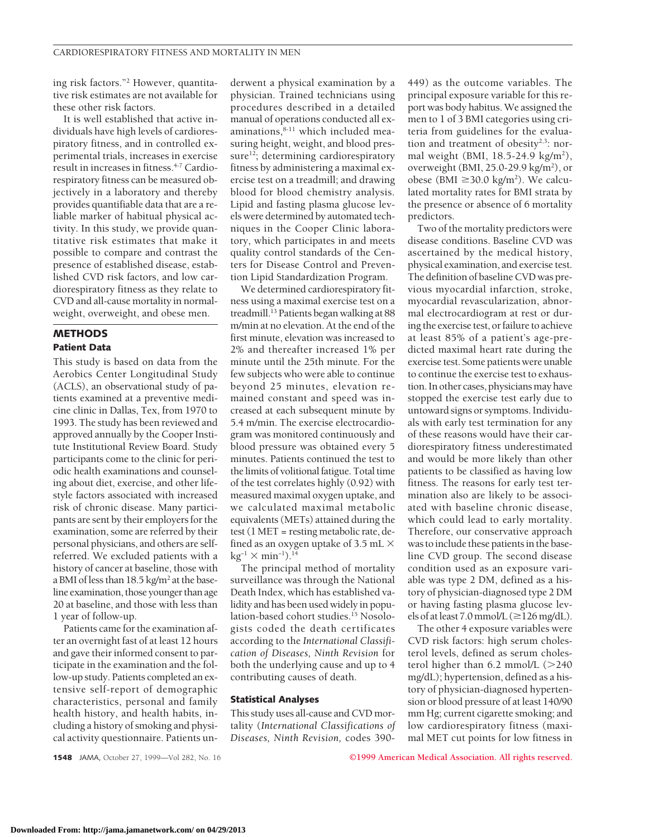ing risk factors."2 However, quantitative risk estimates are not available for these other risk factors.

It is well established that active individuals have high levels of cardiorespiratory fitness, and in controlled experimental trials, increases in exercise result in increases in fitness.<sup>4-7</sup> Cardiorespiratory fitness can be measured objectively in a laboratory and thereby provides quantifiable data that are a reliable marker of habitual physical activity. In this study, we provide quantitative risk estimates that make it possible to compare and contrast the presence of established disease, established CVD risk factors, and low cardiorespiratory fitness as they relate to CVD and all-cause mortality in normalweight, overweight, and obese men.

## **METHODS Patient Data**

This study is based on data from the Aerobics Center Longitudinal Study (ACLS), an observational study of patients examined at a preventive medicine clinic in Dallas, Tex, from 1970 to 1993. The study has been reviewed and approved annually by the Cooper Institute Institutional Review Board. Study participants come to the clinic for periodic health examinations and counseling about diet, exercise, and other lifestyle factors associated with increased risk of chronic disease. Many participants are sent by their employers for the examination, some are referred by their personal physicians, and others are selfreferred. We excluded patients with a history of cancer at baseline, those with a BMI of less than  $18.5 \text{ kg/m}^2$  at the baseline examination, those younger than age 20 at baseline, and those with less than 1 year of follow-up.

Patients came for the examination after an overnight fast of at least 12 hours and gave their informed consent to participate in the examination and the follow-up study. Patients completed an extensive self-report of demographic characteristics, personal and family health history, and health habits, including a history of smoking and physical activity questionnaire. Patients un-

derwent a physical examination by a physician. Trained technicians using procedures described in a detailed manual of operations conducted all examinations, $8-11$  which included measuring height, weight, and blood pressure<sup>12</sup>; determining cardiorespiratory fitness by administering a maximal exercise test on a treadmill; and drawing blood for blood chemistry analysis. Lipid and fasting plasma glucose levels were determined by automated techniques in the Cooper Clinic laboratory, which participates in and meets quality control standards of the Centers for Disease Control and Prevention Lipid Standardization Program.

We determined cardiorespiratory fitness using a maximal exercise test on a treadmill.<sup>13</sup> Patients began walking at 88 m/min at no elevation. At the end of the first minute, elevation was increased to 2% and thereafter increased 1% per minute until the 25th minute. For the few subjects who were able to continue beyond 25 minutes, elevation remained constant and speed was increased at each subsequent minute by 5.4 m/min. The exercise electrocardiogram was monitored continuously and blood pressure was obtained every 5 minutes. Patients continued the test to the limits of volitional fatigue. Total time of the test correlates highly (0.92) with measured maximal oxygen uptake, and we calculated maximal metabolic equivalents (METs) attained during the test (1 MET = resting metabolic rate, defined as an oxygen uptake of 3.5 mL  $\times$  $kg^{-1} \times min^{-1}$ ).<sup>14</sup>

The principal method of mortality surveillance was through the National Death Index, which has established validity and has been used widely in population-based cohort studies.<sup>15</sup> Nosologists coded the death certificates according to the *International Classification of Diseases, Ninth Revision* for both the underlying cause and up to 4 contributing causes of death.

#### **Statistical Analyses**

This study uses all-cause and CVD mortality (*International Classifications of Diseases, Ninth Revision,* codes 390449) as the outcome variables. The principal exposure variable for this report was body habitus. We assigned the men to 1 of 3 BMI categories using criteria from guidelines for the evaluation and treatment of obesity<sup>2,3</sup>: normal weight (BMI, 18.5-24.9 kg/m<sup>2</sup>), overweight (BMI, 25.0-29.9 kg/m2 ), or obese (BMI  $\geq$ 30.0 kg/m<sup>2</sup>). We calculated mortality rates for BMI strata by the presence or absence of 6 mortality predictors.

Two of the mortality predictors were disease conditions. Baseline CVD was ascertained by the medical history, physical examination, and exercise test. The definition of baseline CVD was previous myocardial infarction, stroke, myocardial revascularization, abnormal electrocardiogram at rest or during the exercise test, or failure to achieve at least 85% of a patient's age-predicted maximal heart rate during the exercise test. Some patients were unable to continue the exercise test to exhaustion. In other cases, physicians may have stopped the exercise test early due to untoward signs or symptoms. Individuals with early test termination for any of these reasons would have their cardiorespiratory fitness underestimated and would be more likely than other patients to be classified as having low fitness. The reasons for early test termination also are likely to be associated with baseline chronic disease, which could lead to early mortality. Therefore, our conservative approach was to include these patients in the baseline CVD group. The second disease condition used as an exposure variable was type 2 DM, defined as a history of physician-diagnosed type 2 DM or having fasting plasma glucose levels of at least 7.0 mmol/L ( $\geq$ 126 mg/dL).

The other 4 exposure variables were CVD risk factors: high serum cholesterol levels, defined as serum cholesterol higher than  $6.2$  mmol/L ( $>240$ mg/dL); hypertension, defined as a history of physician-diagnosed hypertension or blood pressure of at least 140/90 mm Hg; current cigarette smoking; and low cardiorespiratory fitness (maximal MET cut points for low fitness in

**1548** JAMA, October 27, 1999—Vol 282, No. 16 **©1999 American Medical Association. All rights reserved.**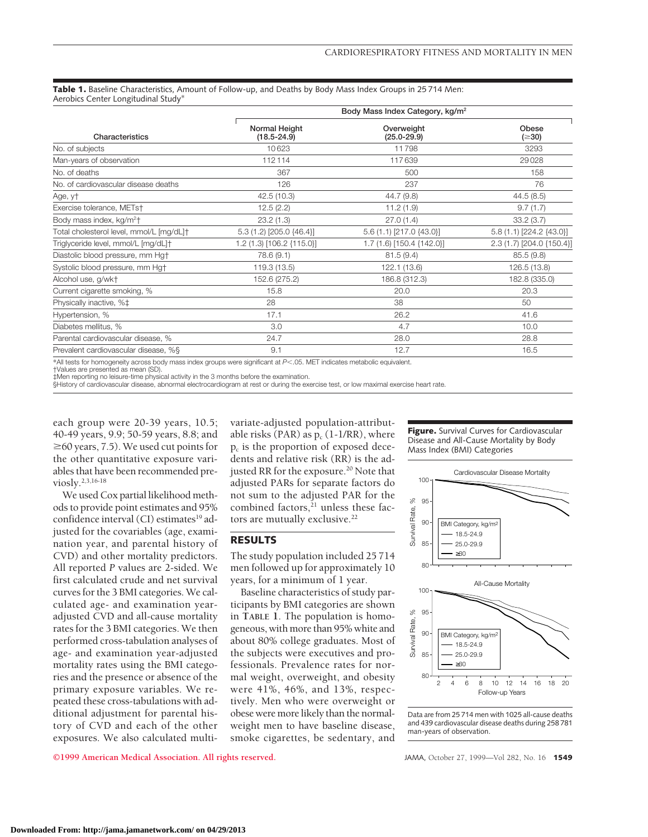**Table 1.** Baseline Characteristics, Amount of Follow-up, and Deaths by Body Mass Index Groups in 25 714 Men: Aerobics Center Longitudinal Study\*

|                                          | Body Mass Index Category, kg/m <sup>2</sup> |                               |                           |  |  |
|------------------------------------------|---------------------------------------------|-------------------------------|---------------------------|--|--|
| Characteristics                          | Normal Height<br>$(18.5 - 24.9)$            | Overweight<br>$(25.0 - 29.9)$ | Obese<br>(≥30)            |  |  |
| No. of subjects                          | 10623                                       | 11798                         | 3293                      |  |  |
| Man-years of observation                 | 112114                                      | 117639                        | 29028                     |  |  |
| No. of deaths                            | 367                                         | 500                           | 158                       |  |  |
| No. of cardiovascular disease deaths     | 126                                         | 237                           | 76                        |  |  |
| Age, y†                                  | 42.5 (10.3)                                 | 44.7 (9.8)                    | 44.5 (8.5)                |  |  |
| Exercise tolerance, METst                | 12.5(2.2)                                   | 11.2(1.9)                     | 9.7(1.7)                  |  |  |
| Body mass index, kg/m <sup>2</sup> t     | 23.2(1.3)                                   | 27.0(1.4)                     | 33.2(3.7)                 |  |  |
| Total cholesterol level, mmol/L [mg/dL]† | 5.3 (1.2) [205.0 {46.4}]                    | 5.6 (1.1) [217.0 {43.0}]      | 5.8 (1.1) [224.2 {43.0}]  |  |  |
| Triglyceride level, mmol/L [mg/dL]+      | 1.2 (1.3) [106.2 {115.0}]                   | 1.7 (1.6) [150.4 {142.0}]     | 2.3 (1.7) [204.0 {150.4}] |  |  |
| Diastolic blood pressure, mm Hg+         | 78.6 (9.1)                                  | 81.5(9.4)                     | 85.5(9.8)                 |  |  |
| Systolic blood pressure, mm Hg+          | 119.3 (13.5)                                | 122.1 (13.6)                  | 126.5 (13.8)              |  |  |
| Alcohol use, g/wk+                       | 152.6 (275.2)                               | 186.8 (312.3)                 | 182.8 (335.0)             |  |  |
| Current cigarette smoking, %             | 15.8                                        | 20.0                          | 20.3                      |  |  |
| Physically inactive, %‡                  | 28                                          | 38                            | 50                        |  |  |
| Hypertension, %                          | 17.1                                        | 26.2                          | 41.6                      |  |  |
| Diabetes mellitus, %                     | 3.0                                         | 4.7                           | 10.0                      |  |  |
| Parental cardiovascular disease, %       | 24.7                                        | 28.0                          | 28.8                      |  |  |
| Prevalent cardiovascular disease, %§     | 9.1                                         | 12.7                          | 16.5                      |  |  |

\*All tests for homogeneity across body mass index groups were significant at P<.05. MET indicates metabolic equivalent.

†Values are presented as mean (SD). ‡Men reporting no leisure-time physical activity in the 3 months before the examination.

§History of cardiovascular disease, abnormal electrocardiogram at rest or during the exercise test, or low maximal exercise heart rate.

each group were 20-39 years, 10.5; 40-49 years, 9.9; 50-59 years, 8.8; and  $\geq$  60 years, 7.5). We used cut points for the other quantitative exposure variables that have been recommended previosly.2,3,16-18

We used Cox partial likelihood methods to provide point estimates and 95% confidence interval (CI) estimates<sup>19</sup> adjusted for the covariables (age, examination year, and parental history of CVD) and other mortality predictors. All reported *P* values are 2-sided. We first calculated crude and net survival curves for the 3 BMI categories. We calculated age- and examination yearadjusted CVD and all-cause mortality rates for the 3 BMI categories. We then performed cross-tabulation analyses of age- and examination year-adjusted mortality rates using the BMI categories and the presence or absence of the primary exposure variables. We repeated these cross-tabulations with additional adjustment for parental history of CVD and each of the other exposures. We also calculated multivariate-adjusted population-attributable risks (PAR) as  $p_c$  (1-1/RR), where  $p_c$  is the proportion of exposed decedents and relative risk (RR) is the adjusted RR for the exposure.<sup>20</sup> Note that adjusted PARs for separate factors do not sum to the adjusted PAR for the combined factors, $^{21}$  unless these factors are mutually exclusive.<sup>22</sup>

## **RESULTS**

The study population included 25 714 men followed up for approximately 10 years, for a minimum of 1 year.

Baseline characteristics of study participants by BMI categories are shown in **TABLE 1**. The population is homogeneous, with more than 95% white and about 80% college graduates. Most of the subjects were executives and professionals. Prevalence rates for normal weight, overweight, and obesity were 41%, 46%, and 13%, respectively. Men who were overweight or obese were more likely than the normalweight men to have baseline disease, smoke cigarettes, be sedentary, and

**Figure.** Survival Curves for Cardiovascular Disease and All-Cause Mortality by Body Mass Index (BMI) Categories



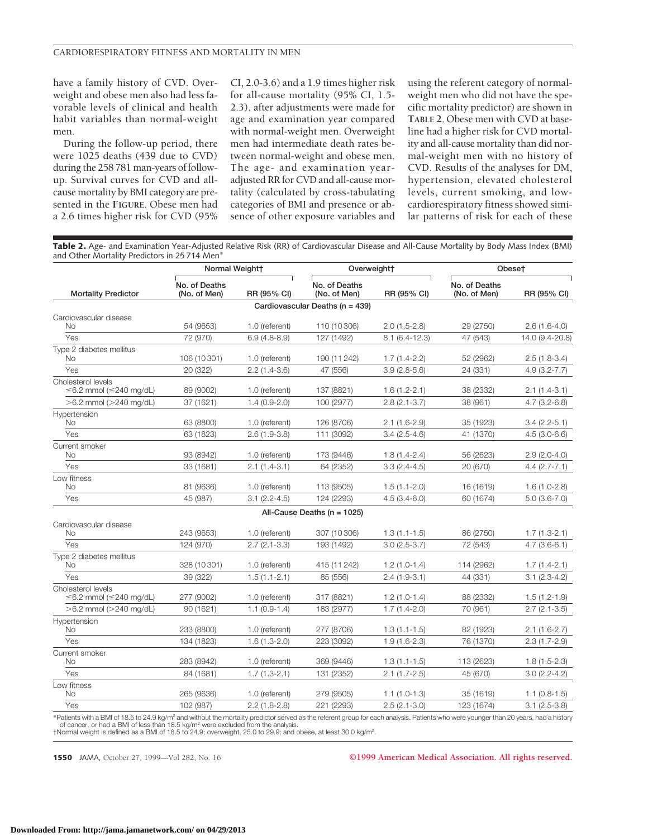have a family history of CVD. Overweight and obese men also had less favorable levels of clinical and health habit variables than normal-weight men.

During the follow-up period, there were 1025 deaths (439 due to CVD) during the 258 781 man-years of followup. Survival curves for CVD and allcause mortality by BMI category are presented in the **FIGURE**. Obese men had a 2.6 times higher risk for CVD (95% CI, 2.0-3.6) and a 1.9 times higher risk for all-cause mortality (95% CI, 1.5- 2.3), after adjustments were made for age and examination year compared with normal-weight men. Overweight men had intermediate death rates between normal-weight and obese men. The age- and examination yearadjusted RR for CVD and all-cause mortality (calculated by cross-tabulating categories of BMI and presence or absence of other exposure variables and using the referent category of normalweight men who did not have the specific mortality predictor) are shown in **TABLE 2**. Obese men with CVD at baseline had a higher risk for CVD mortality and all-cause mortality than did normal-weight men with no history of CVD. Results of the analyses for DM, hypertension, elevated cholesterol levels, current smoking, and lowcardiorespiratory fitness showed similar patterns of risk for each of these

**Table 2.** Age- and Examination Year-Adjusted Relative Risk (RR) of Cardiovascular Disease and All-Cause Mortality by Body Mass Index (BMI) and Other Mortality Predictors in 25 714 Men\*

|                                                                                                                                                                                                   | Normal Weightt                |                | Overweight†                     |                  | Obese†                        |                   |
|---------------------------------------------------------------------------------------------------------------------------------------------------------------------------------------------------|-------------------------------|----------------|---------------------------------|------------------|-------------------------------|-------------------|
| <b>Mortality Predictor</b>                                                                                                                                                                        | No. of Deaths<br>(No. of Men) | RR (95% CI)    | No. of Deaths<br>(No. of Men)   | RR (95% CI)      | No. of Deaths<br>(No. of Men) | RR (95% CI)       |
|                                                                                                                                                                                                   |                               |                | Cardiovascular Deaths (n = 439) |                  |                               |                   |
| Cardiovascular disease                                                                                                                                                                            |                               |                |                                 |                  |                               |                   |
| No                                                                                                                                                                                                | 54 (9653)                     | 1.0 (referent) | 110 (10 306)                    | $2.0(1.5-2.8)$   | 29 (2750)                     | $2.6(1.6-4.0)$    |
| Yes                                                                                                                                                                                               | 72 (970)                      | $6.9(4.8-8.9)$ | 127 (1492)                      | $8.1(6.4-12.3)$  | 47 (543)                      | 14.0 (9.4-20.8)   |
| Type 2 diabetes mellitus<br>No                                                                                                                                                                    | 106 (10 301)                  | 1.0 (referent) | 190 (11 242)                    | $1.7(1.4-2.2)$   | 52 (2962)                     | $2.5(1.8-3.4)$    |
| Yes                                                                                                                                                                                               | 20 (322)                      | $2.2(1.4-3.6)$ | 47 (556)                        | $3.9(2.8-5.6)$   | 24 (331)                      | $4.9(3.2 - 7.7)$  |
| Cholesterol levels<br>$\leq$ 6.2 mmol ( $\leq$ 240 mg/dL)                                                                                                                                         | 89 (9002)                     | 1.0 (referent) | 137 (8821)                      | $1.6(1.2 - 2.1)$ | 38 (2332)                     | $2.1(1.4-3.1)$    |
| $>6.2$ mmol ( $>240$ mg/dL)                                                                                                                                                                       | 37 (1621)                     | $1.4(0.9-2.0)$ | 100 (2977)                      | $2.8(2.1-3.7)$   | 38 (961)                      | $4.7(3.2-6.8)$    |
| Hypertension                                                                                                                                                                                      |                               |                |                                 |                  |                               |                   |
| No.                                                                                                                                                                                               | 63 (8800)                     | 1.0 (referent) | 126 (8706)                      | $2.1(1.6-2.9)$   | 35 (1923)                     | $3.4(2.2-5.1)$    |
| Yes                                                                                                                                                                                               | 63 (1823)                     | $2.6(1.9-3.8)$ | 111 (3092)                      | $3.4(2.5-4.6)$   | 41 (1370)                     | $4.5(3.0-6.6)$    |
| Current smoker<br>No                                                                                                                                                                              | 93 (8942)                     | 1.0 (referent) | 173 (9446)                      | $1.8(1.4-2.4)$   | 56 (2623)                     | $2.9(2.0-4.0)$    |
| Yes                                                                                                                                                                                               | 33 (1681)                     | $2.1(1.4-3.1)$ | 64 (2352)                       | $3.3(2.4-4.5)$   | 20 (670)                      | $4.4(2.7 - 7.1)$  |
| Low fitness<br>No                                                                                                                                                                                 | 81 (9636)                     | 1.0 (referent) | 113 (9505)                      | $1.5(1.1-2.0)$   | 16 (1619)                     | $1.6(1.0-2.8)$    |
| Yes                                                                                                                                                                                               | 45 (987)                      | $3.1(2.2-4.5)$ | 124 (2293)                      | 4.5 (3.4-6.0)    | 60 (1674)                     | $5.0(3.6-7.0)$    |
|                                                                                                                                                                                                   |                               |                | All-Cause Deaths ( $n = 1025$ ) |                  |                               |                   |
| Cardiovascular disease                                                                                                                                                                            |                               |                |                                 |                  |                               |                   |
| No                                                                                                                                                                                                | 243 (9653)                    | 1.0 (referent) | 307 (10 306)                    | $1.3(1.1-1.5)$   | 86 (2750)                     | $1.7(1.3-2.1)$    |
| Yes                                                                                                                                                                                               | 124 (970)                     | $2.7(2.1-3.3)$ | 193 (1492)                      | $3.0(2.5-3.7)$   | 72 (543)                      | $4.7(3.6-6.1)$    |
| Type 2 diabetes mellitus<br>No                                                                                                                                                                    | 328 (10 301)                  | 1.0 (referent) | 415 (11 242)                    | $1.2(1.0-1.4)$   | 114 (2962)                    | $1.7(1.4-2.1)$    |
| Yes                                                                                                                                                                                               | 39 (322)                      | $1.5(1.1-2.1)$ | 85 (556)                        | $2.4(1.9-3.1)$   | 44 (331)                      | $3.1 (2.3 - 4.2)$ |
| Cholesterol levels<br>$\leq$ 6.2 mmol ( $\leq$ 240 mg/dL)                                                                                                                                         | 277 (9002)                    | 1.0 (referent) | 317 (8821)                      | $1.2(1.0-1.4)$   | 88 (2332)                     | $1.5(1.2-1.9)$    |
| $>6.2$ mmol ( $>240$ mg/dL)                                                                                                                                                                       | 90 (1621)                     | $1.1(0.9-1.4)$ | 183 (2977)                      | $1.7(1.4-2.0)$   | 70 (961)                      | $2.7(2.1-3.5)$    |
| Hypertension<br>No                                                                                                                                                                                | 233 (8800)                    | 1.0 (referent) | 277 (8706)                      | $1.3(1.1 - 1.5)$ | 82 (1923)                     | $2.1(1.6-2.7)$    |
| Yes                                                                                                                                                                                               | 134 (1823)                    | $1.6(1.3-2.0)$ | 223 (3092)                      | $1.9(1.6-2.3)$   | 76 (1370)                     | $2.3(1.7-2.9)$    |
| Current smoker<br>No                                                                                                                                                                              | 283 (8942)                    | 1.0 (referent) | 369 (9446)                      | $1.3(1.1-1.5)$   | 113 (2623)                    | $1.8(1.5-2.3)$    |
| Yes                                                                                                                                                                                               | 84 (1681)                     | $1.7(1.3-2.1)$ | 131 (2352)                      | $2.1(1.7-2.5)$   | 45 (670)                      | $3.0(2.2 - 4.2)$  |
| Low fitness<br>No                                                                                                                                                                                 | 265 (9636)                    | 1.0 (referent) | 279 (9505)                      | $1.1(1.0-1.3)$   | 35 (1619)                     | $1.1 (0.8 - 1.5)$ |
| Yes                                                                                                                                                                                               | 102 (987)                     | $2.2(1.8-2.8)$ | 221 (2293)                      | $2.5(2.1-3.0)$   | 123 (1674)                    | $3.1(2.5-3.8)$    |
| *Patients with a BML of 18.5 to 24.9 kg/m <sup>2</sup> and without the mortality predictor served as the referent group for each analysis. Patients who were younger than 20 years, had a history |                               |                |                                 |                  |                               |                   |

\*Patients with a BMI of 18.5 to 24.9 kg/m² and without the mortality predictor served as the referent group for each analysis. Patients who were younger than 20 years, had a history<br>of cancer, or had a BMI of less than 18.

**1550** JAMA, October 27, 1999—Vol 282, No. 16 **©1999 American Medical Association. All rights reserved.**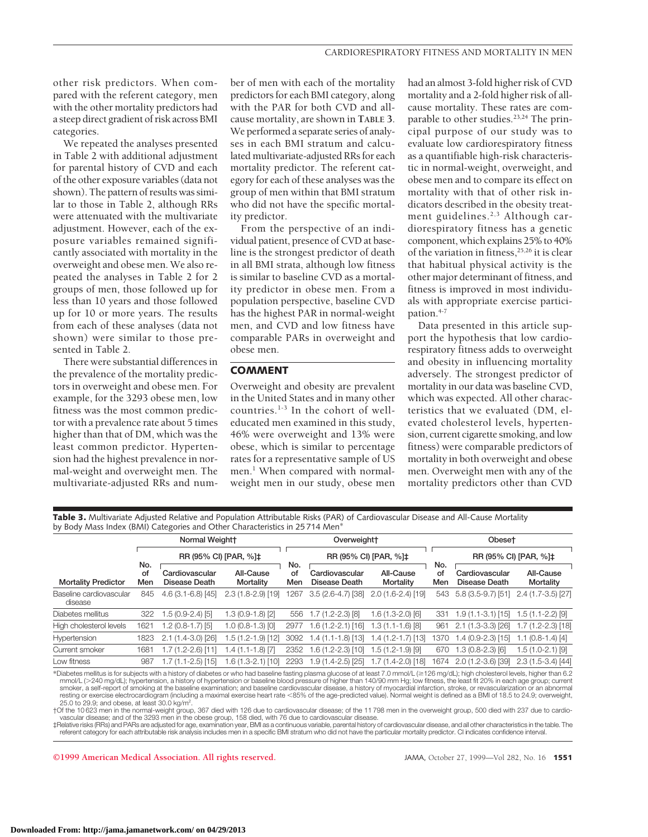other risk predictors. When compared with the referent category, men with the other mortality predictors had a steep direct gradient of risk across BMI categories.

We repeated the analyses presented in Table 2 with additional adjustment for parental history of CVD and each of the other exposure variables (data not shown). The pattern of results was similar to those in Table 2, although RRs were attenuated with the multivariate adjustment. However, each of the exposure variables remained significantly associated with mortality in the overweight and obese men. We also repeated the analyses in Table 2 for 2 groups of men, those followed up for less than 10 years and those followed up for 10 or more years. The results from each of these analyses (data not shown) were similar to those presented in Table 2.

There were substantial differences in the prevalence of the mortality predictors in overweight and obese men. For example, for the 3293 obese men, low fitness was the most common predictor with a prevalence rate about 5 times higher than that of DM, which was the least common predictor. Hypertension had the highest prevalence in normal-weight and overweight men. The multivariate-adjusted RRs and num-

ber of men with each of the mortality predictors for each BMI category, along with the PAR for both CVD and allcause mortality, are shown in **TABLE 3**. We performed a separate series of analyses in each BMI stratum and calculated multivariate-adjusted RRs for each mortality predictor. The referent category for each of these analyses was the group of men within that BMI stratum who did not have the specific mortality predictor.

From the perspective of an individual patient, presence of CVD at baseline is the strongest predictor of death in all BMI strata, although low fitness is similar to baseline CVD as a mortality predictor in obese men. From a population perspective, baseline CVD has the highest PAR in normal-weight men, and CVD and low fitness have comparable PARs in overweight and obese men.

### **COMMENT**

Overweight and obesity are prevalent in the United States and in many other countries. $1-3$  In the cohort of welleducated men examined in this study, 46% were overweight and 13% were obese, which is similar to percentage rates for a representative sample of US men.<sup>1</sup> When compared with normalweight men in our study, obese men

had an almost 3-fold higher risk of CVD mortality and a 2-fold higher risk of allcause mortality. These rates are comparable to other studies.<sup>23,24</sup> The principal purpose of our study was to evaluate low cardiorespiratory fitness as a quantifiable high-risk characteristic in normal-weight, overweight, and obese men and to compare its effect on mortality with that of other risk indicators described in the obesity treatment guidelines.<sup>2,3</sup> Although cardiorespiratory fitness has a genetic component, which explains 25% to 40% of the variation in fitness,25,26 it is clear that habitual physical activity is the other major determinant of fitness, and fitness is improved in most individuals with appropriate exercise participation.<sup>4-7</sup>

Data presented in this article support the hypothesis that low cardiorespiratory fitness adds to overweight and obesity in influencing mortality adversely. The strongest predictor of mortality in our data was baseline CVD, which was expected. All other characteristics that we evaluated (DM, elevated cholesterol levels, hypertension, current cigarette smoking, and low fitness) were comparable predictors of mortality in both overweight and obese men. Overweight men with any of the mortality predictors other than CVD

**Table 3.** Multivariate Adjusted Relative and Population Attributable Risks (PAR) of Cardiovascular Disease and All-Cause Mortality by Body Mass Index (BMI) Categories and Other Characteristics in 25 714 Men\*

|                                    | Normal Weightt                  |                                 | Overweight <sup>+</sup> |                  | Obeset                          |                               |                                 |                                 |                                |
|------------------------------------|---------------------------------|---------------------------------|-------------------------|------------------|---------------------------------|-------------------------------|---------------------------------|---------------------------------|--------------------------------|
|                                    | RR (95% CI) [PAR, %] $\ddagger$ |                                 | RR (95% CI) [PAR, %]‡   |                  |                                 |                               | RR (95% CI) [PAR, %] $\ddagger$ |                                 |                                |
| <b>Mortality Predictor</b>         | No.<br>of<br>Men                | Cardiovascular<br>Disease Death | All-Cause<br>Mortality  | No.<br>οf<br>Men | Cardiovascular<br>Disease Death | All-Cause<br>Mortality        | No.<br>οf<br>Men                | Cardiovascular<br>Disease Death | All-Cause<br>Mortality         |
| Baseline cardiovascular<br>disease | 845                             | $4.6(3.1 - 6.8)[45]$            | $2.3(1.8-2.9)$ [19]     | 1267             | $3.5(2.6-4.7)$ [38]             | $.6 - 2.4$ [19]<br>2.0<br>(1) | 543                             | 5.8 (3.5-9.7) [51]              | $2.4(1.7-3.5)$ [27]            |
| Diabetes mellitus                  | 322                             | 1.5 (0.9-2.4) [5]               | $1.3(0.9-1.8)$ [2]      | 556              | 1.7 (1.2-2.3) [8]               | $1.6(1.3-2.0)$ [6]            | 331                             | 1.9 (1.1-3.1) [15]              | $.5(1.1-2.2)$ [9]              |
| High cholesterol levels            | 1621                            | 1.2 (0.8-1.7) [5]               | $1.0(0.8-1.3)$ [0]      | 2977             | $1.6(1.2 - 2.1)$ [16]           | $1.3(1.1-1.6)[8]$             | 961                             | $2.1(1.3-3.3)[26]$              | .7 (1.2-2.3) [18]              |
| Hypertension                       | 1823                            | $(1.4 - 3.0)$ [26]<br>2.1       | $.5(1.2-1.9)$ [12]      | 3092             | $1.4(1.1-1.8)$ [13]             | $1.4(1.2 - 1.7)$ [13]         | 1370                            | 1.4 (0.9-2.3) [15]              | $(0.8 - 1.4)$ [4]<br>$\cdot$ 1 |
| Current smoker                     | 1681                            | (1.2-2.6) [11]                  | 1.4 (1.1-1.8) [7]       | 2352             | 10 (1.2-2.3) 10                 | $1.5(1.2-1.9)$ [9]            | 670                             | 1.3 (0.8-2.3) [6]               | 1.5 (1.0-2.1) [9]              |
| Low fitness                        | 987                             | $(1.1 - 2.5)$ [15]              | 1.6 (1.3-2.1) [10]      | 2293             | $1.9(1.4-2.5)$ [25]             | $(1.4 - 2.0)$ [18]            | 1674                            | $2.0(1.2-3.6)$ [39]             | $2.3(1.5-3.4)[44]$             |

%Diabetes mellitus is for subjects with a history of diabetes or who had baseline fasting plasma glucose of at least 7.0 mmol/L (≥126 mg/dL); high cholesterol levels, higher than 6.2\*<br>mmol/L (>240 mg/dL); hypertension, a smoker, a self-report of smoking at the baseline examination; and baseline cardiovascular disease, a history of myocardial infarction, stroke, or revascularization or an abnormal resting or exercise electrocardiogram (including a maximal exercise heart rate <85% of the age-predicted value). Normal weight is defined as a BMI of 18.5 to 24.9; overweight,  $25.0$  to  $29.9$ ; and obese, at least  $30.0$  kg/m<sup>2</sup>.

+Of the 10623 men in the normal-weight group, 367 died with 126 due to cardiovascular disease; of the 11798 men in the overweight group, 500 died with 237 due to cardio-<br>vascular disease; and of the 3293 men in the obese g

‡Relative risks (RRs) and PARs are adjusted for age, examination year, BMI as a continuous variable, parental history of cardiovascular disease, andall other characteristics in the table. The referent category for each attributable risk analysis includes men in a specific BMI stratum who did not have the particular mortality predictor. CI indicates confidence interval.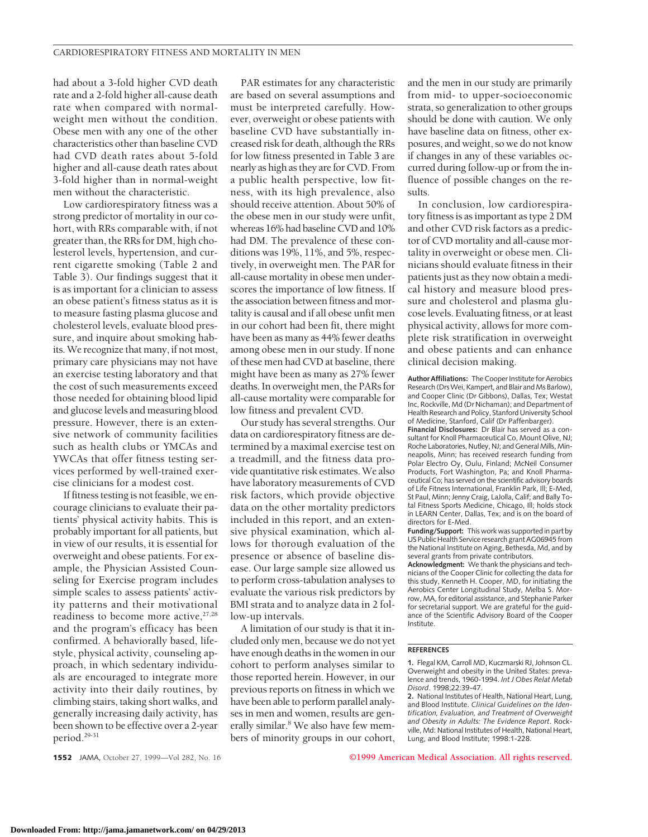had about a 3-fold higher CVD death rate and a 2-fold higher all-cause death rate when compared with normalweight men without the condition. Obese men with any one of the other characteristics other than baseline CVD had CVD death rates about 5-fold higher and all-cause death rates about 3-fold higher than in normal-weight men without the characteristic.

Low cardiorespiratory fitness was a strong predictor of mortality in our cohort, with RRs comparable with, if not greater than, the RRs for DM, high cholesterol levels, hypertension, and current cigarette smoking (Table 2 and Table 3). Our findings suggest that it is as important for a clinician to assess an obese patient's fitness status as it is to measure fasting plasma glucose and cholesterol levels, evaluate blood pressure, and inquire about smoking habits. We recognize that many, if not most, primary care physicians may not have an exercise testing laboratory and that the cost of such measurements exceed those needed for obtaining blood lipid and glucose levels and measuring blood pressure. However, there is an extensive network of community facilities such as health clubs or YMCAs and YWCAs that offer fitness testing services performed by well-trained exercise clinicians for a modest cost.

If fitness testing is not feasible, we encourage clinicians to evaluate their patients' physical activity habits. This is probably important for all patients, but in view of our results, it is essential for overweight and obese patients. For example, the Physician Assisted Counseling for Exercise program includes simple scales to assess patients' activity patterns and their motivational readiness to become more active, 27,28 and the program's efficacy has been confirmed. A behaviorally based, lifestyle, physical activity, counseling approach, in which sedentary individuals are encouraged to integrate more activity into their daily routines, by climbing stairs, taking short walks, and generally increasing daily activity, has been shown to be effective over a 2-year period.29-31

PAR estimates for any characteristic are based on several assumptions and must be interpreted carefully. However, overweight or obese patients with baseline CVD have substantially increased risk for death, although the RRs for low fitness presented in Table 3 are nearly as high as they are for CVD. From a public health perspective, low fitness, with its high prevalence, also should receive attention. About 50% of the obese men in our study were unfit, whereas 16% had baseline CVD and 10% had DM. The prevalence of these conditions was 19%, 11%, and 5%, respectively, in overweight men. The PAR for all-cause mortality in obese men underscores the importance of low fitness. If the association between fitness and mortality is causal and if all obese unfit men in our cohort had been fit, there might have been as many as 44% fewer deaths among obese men in our study. If none of these men had CVD at baseline, there might have been as many as 27% fewer deaths. In overweight men, the PARs for all-cause mortality were comparable for low fitness and prevalent CVD.

Our study has several strengths. Our data on cardiorespiratory fitness are determined by a maximal exercise test on a treadmill, and the fitness data provide quantitative risk estimates. We also have laboratory measurements of CVD risk factors, which provide objective data on the other mortality predictors included in this report, and an extensive physical examination, which allows for thorough evaluation of the presence or absence of baseline disease. Our large sample size allowed us to perform cross-tabulation analyses to evaluate the various risk predictors by BMI strata and to analyze data in 2 follow-up intervals.

A limitation of our study is that it included only men, because we do not yet have enough deaths in the women in our cohort to perform analyses similar to those reported herein. However, in our previous reports on fitness in which we have been able to perform parallel analyses in men and women, results are generally similar.<sup>8</sup> We also have few members of minority groups in our cohort,

and the men in our study are primarily from mid- to upper-socioeconomic strata, so generalization to other groups should be done with caution. We only have baseline data on fitness, other exposures, and weight, so we do not know if changes in any of these variables occurred during follow-up or from the influence of possible changes on the results.

In conclusion, low cardiorespiratory fitness is as important as type 2 DM and other CVD risk factors as a predictor of CVD mortality and all-cause mortality in overweight or obese men. Clinicians should evaluate fitness in their patients just as they now obtain a medical history and measure blood pressure and cholesterol and plasma glucose levels. Evaluating fitness, or at least physical activity, allows for more complete risk stratification in overweight and obese patients and can enhance clinical decision making.

**Author Affiliations:** The Cooper Institute for Aerobics Research (Drs Wei, Kampert, and Blair and Ms Barlow), and Cooper Clinic (Dr Gibbons), Dallas, Tex; Westat Inc, Rockville, Md (Dr Nichaman); and Department of Health Research and Policy, Stanford University School of Medicine, Stanford, Calif (Dr Paffenbarger).

**Financial Disclosures:** Dr Blair has served as a consultant for Knoll Pharmaceutical Co, Mount Olive, NJ; Roche Laboratories, Nutley, NJ; and General Mills, Minneapolis, Minn; has received research funding from Polar Electro Oy, Oulu, Finland; McNeil Consumer Products, Fort Washington, Pa; and Knoll Pharmaceutical Co; has served on the scientific advisory boards of Life Fitness International, Franklin Park, Ill; E-Med, St Paul, Minn; Jenny Craig, LaJolla, Calif; and Bally Total Fitness Sports Medicine, Chicago, Ill; holds stock in LEARN Center, Dallas, Tex; and is on the board of directors for E-Med.

**Funding/Support:** This work was supported in part by US Public Health Service research grant AG06945 from the National Institute on Aging, Bethesda, Md, and by several grants from private contributors.

**Acknowledgment:** We thank the physicians and technicians of the Cooper Clinic for collecting the data for this study, Kenneth H. Cooper, MD, for initiating the Aerobics Center Longitudinal Study, Melba S. Morrow, MA, for editorial assistance, and Stephanie Parker for secretarial support. We are grateful for the guidance of the Scientific Advisory Board of the Cooper Institute.

#### **REFERENCES**

**1.** Flegal KM, Carroll MD, Kuczmarski RJ, Johnson CL. Overweight and obesity in the United States: prevalence and trends, 1960-1994. *Int J Obes Relat Metab Disord*. 1998;22:39-47.

**2.** National Institutes of Health, National Heart, Lung, and Blood Institute. *Clinical Guidelines on the Identification, Evaluation, and Treatment of Overweight and Obesity in Adults: The Evidence Report*. Rockville, Md: National Institutes of Health, National Heart, Lung, and Blood Institute; 1998:1-228.

**1552** JAMA, October 27, 1999—Vol 282, No. 16 **©1999 American Medical Association. All rights reserved.**